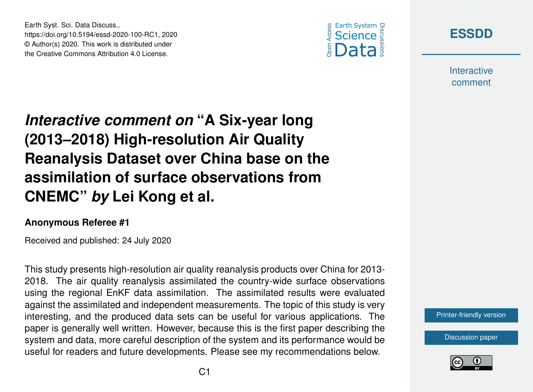Earth Syst. Sci. Data Discuss., https://doi.org/10.5194/essd-2020-100-RC1, 2020 © Author(s) 2020. This work is distributed under the Creative Commons Attribution 4.0 License.





**Interactive** comment

## *Interactive comment on* **"A Six-year long (2013–2018) High-resolution Air Quality Reanalysis Dataset over China base on the assimilation of surface observations from CNEMC"** *by* **Lei Kong et al.**

## **Anonymous Referee #1**

Received and published: 24 July 2020

This study presents high-resolution air quality reanalysis products over China for 2013- 2018. The air quality reanalysis assimilated the country-wide surface observations using the regional EnKF data assimilation. The assimilated results were evaluated against the assimilated and independent measurements. The topic of this study is very interesting, and the produced data sets can be useful for various applications. The paper is generally well written. However, because this is the first paper describing the system and data, more careful description of the system and its performance would be useful for readers and future developments. Please see my recommendations below.

[Printer-friendly version](https://essd.copernicus.org/preprints/essd-2020-100/essd-2020-100-RC1-print.pdf)

[Discussion paper](https://essd.copernicus.org/preprints/essd-2020-100)

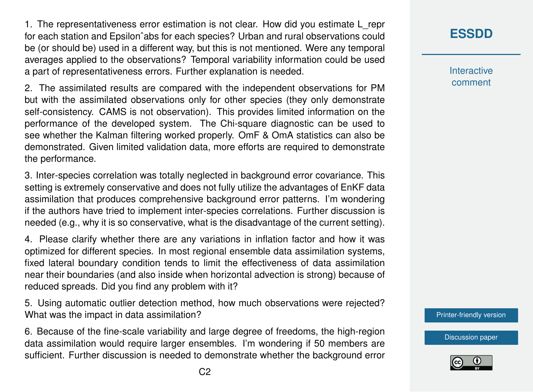1. The representativeness error estimation is not clear. How did you estimate L\_repr for each station and Epsilonˆabs for each species? Urban and rural observations could be (or should be) used in a different way, but this is not mentioned. Were any temporal averages applied to the observations? Temporal variability information could be used a part of representativeness errors. Further explanation is needed.

2. The assimilated results are compared with the independent observations for PM but with the assimilated observations only for other species (they only demonstrate self-consistency. CAMS is not observation). This provides limited information on the performance of the developed system. The Chi-square diagnostic can be used to see whether the Kalman filtering worked properly. OmF & OmA statistics can also be demonstrated. Given limited validation data, more efforts are required to demonstrate the performance.

3. Inter-species correlation was totally neglected in background error covariance. This setting is extremely conservative and does not fully utilize the advantages of EnKF data assimilation that produces comprehensive background error patterns. I'm wondering if the authors have tried to implement inter-species correlations. Further discussion is needed (e.g., why it is so conservative, what is the disadvantage of the current setting).

4. Please clarify whether there are any variations in inflation factor and how it was optimized for different species. In most regional ensemble data assimilation systems, fixed lateral boundary condition tends to limit the effectiveness of data assimilation near their boundaries (and also inside when horizontal advection is strong) because of reduced spreads. Did you find any problem with it?

5. Using automatic outlier detection method, how much observations were rejected? What was the impact in data assimilation?

6. Because of the fine-scale variability and large degree of freedoms, the high-region data assimilation would require larger ensembles. I'm wondering if 50 members are sufficient. Further discussion is needed to demonstrate whether the background error **Interactive** comment

[Printer-friendly version](https://essd.copernicus.org/preprints/essd-2020-100/essd-2020-100-RC1-print.pdf)

[Discussion paper](https://essd.copernicus.org/preprints/essd-2020-100)